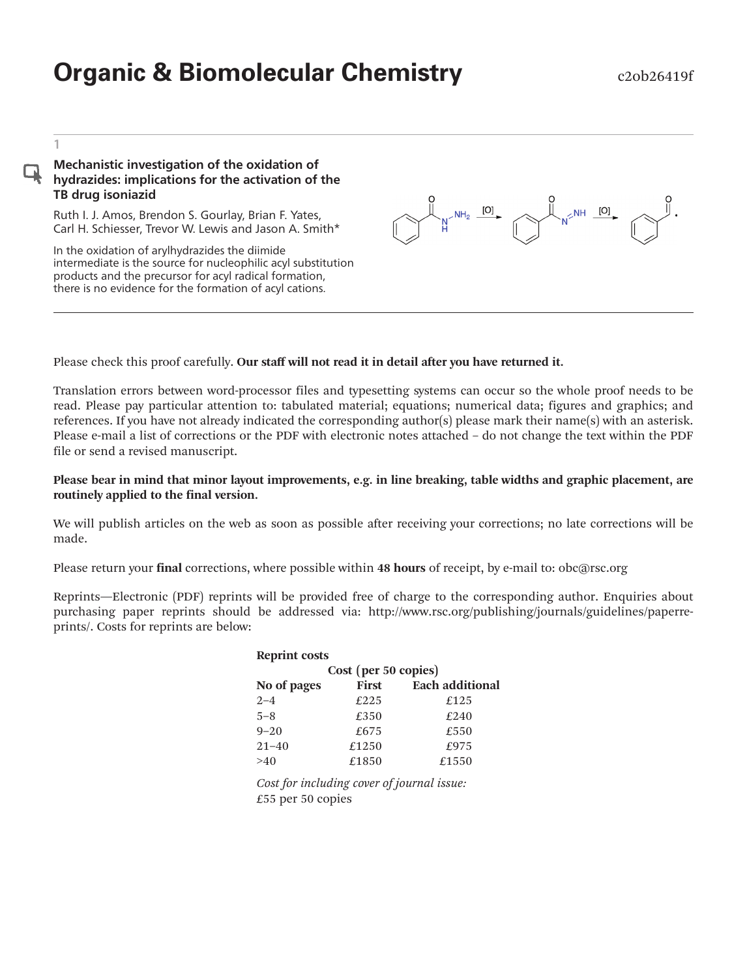# **Organic & Biomolecular Chemistry** e20b26419f

1

#### Mechanistic investigation of the oxidation of hydrazides: implications for the activation of the TB drug isoniazid

Ruth I. J. Amos, Brendon S. Gourlay, Brian F. Yates, Carl H. Schiesser, Trevor W. Lewis and Jason A. Smith\*

In the oxidation of arylhydrazides the diimide intermediate is the source for nucleophilic acyl substitution products and the precursor for acyl radical formation, there is no evidence for the formation of acyl cations.



#### Please check this proof carefully. Our staff will not read it in detail after you have returned it.

Translation errors between word-processor files and typesetting systems can occur so the whole proof needs to be read. Please pay particular attention to: tabulated material; equations; numerical data; figures and graphics; and references. If you have not already indicated the corresponding author(s) please mark their name(s) with an asterisk. Please e-mail a list of corrections or the PDF with electronic notes attached – do not change the text within the PDF file or send a revised manuscript.

#### Please bear in mind that minor layout improvements, e.g. in line breaking, table widths and graphic placement, are routinely applied to the final version.

We will publish articles on the web as soon as possible after receiving your corrections; no late corrections will be made.

Please return your final corrections, where possible within 48 hours of receipt, by e-mail to: obc@rsc.org

Reprints—Electronic (PDF) reprints will be provided free of charge to the corresponding author. Enquiries about purchasing paper reprints should be addressed via: http://www.rsc.org/publishing/journals/guidelines/paperreprints/. Costs for reprints are below:

| <b>Reprint costs</b> |              |                        |  |  |  |
|----------------------|--------------|------------------------|--|--|--|
| Cost (per 50 copies) |              |                        |  |  |  |
| No of pages          | <b>First</b> | <b>Each additional</b> |  |  |  |
| $2 - 4$              | £225         | £125                   |  |  |  |
| $5 - 8$              | £350         | £240                   |  |  |  |
| $9 - 20$             | £675         | £550                   |  |  |  |
| $21 - 40$            | £1250        | £975                   |  |  |  |
| >40                  | £1850        | £1550                  |  |  |  |

Cost for including cover of journal issue: £55 per 50 copies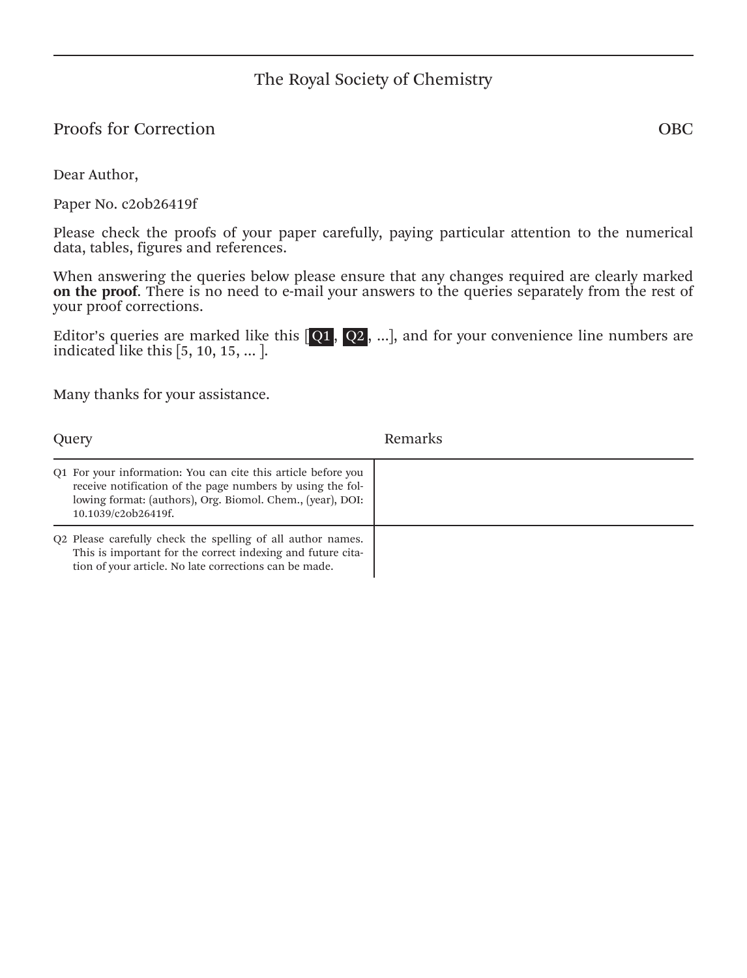## The Royal Society of Chemistry

## Proofs for Correction OBC

Dear Author,

Paper No. c2ob26419f

Please check the proofs of your paper carefully, paying particular attention to the numerical data, tables, figures and references.

When answering the queries below please ensure that any changes required are clearly marked on the proof. There is no need to e-mail your answers to the queries separately from the rest of your proof corrections.

Editor's queries are marked like this  $[Q1, Q2, \ldots]$ , and for your convenience line numbers are indicated like this [5, 10, 15, … ].

Many thanks for your assistance.

| Query                                                                                                                                                                                                            | Remarks |
|------------------------------------------------------------------------------------------------------------------------------------------------------------------------------------------------------------------|---------|
| Q1 For your information: You can cite this article before you<br>receive notification of the page numbers by using the fol-<br>lowing format: (authors), Org. Biomol. Chem., (year), DOI:<br>10.1039/c2ob26419f. |         |
| Q2 Please carefully check the spelling of all author names.<br>This is important for the correct indexing and future cita-<br>tion of your article. No late corrections can be made.                             |         |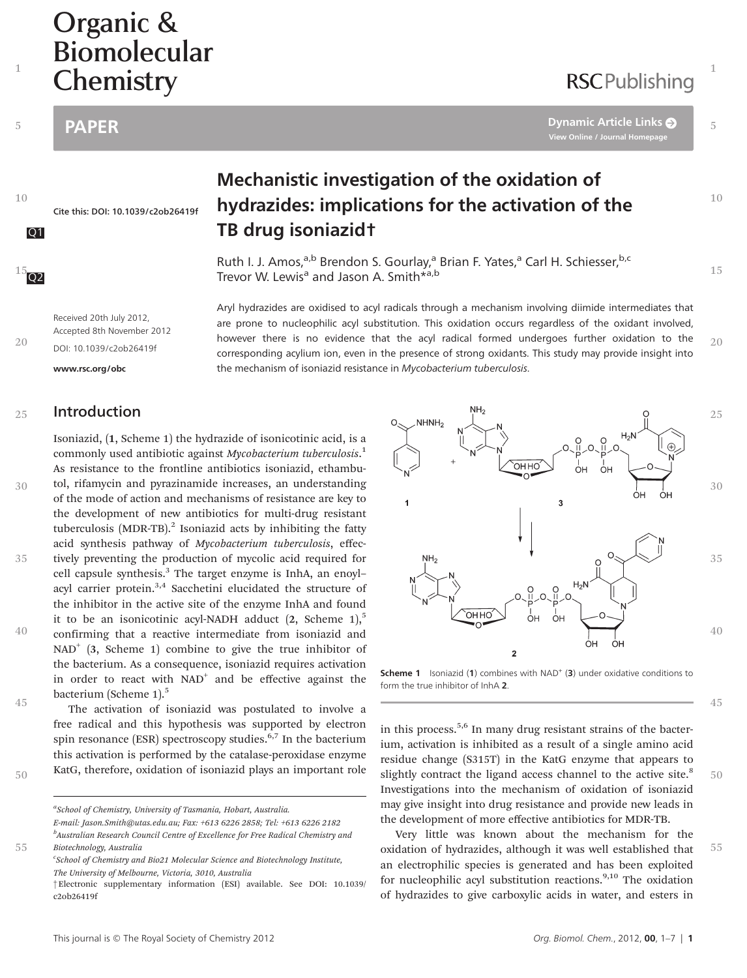# Organic &<br>Biomolecular Chemistry Chemistry Chemistry

1

5

10

 $102$ 

20

PAPER [Dynamic Article Links](http://dx.doi.org/10.1039/c2ob26419f) View Online / Journal Homepage

 $10$ 

15

20

1

5

Cite this: DOI: 10.1039/c2ob26419f

## Mechanistic investigation of the oxidation of hydrazides: implications for the activation of the Q1 TB drug isoniazid†

Ruth I. J. Amos,<sup>a,b</sup> Brendon S. Gourlay,<sup>a</sup> Brian F. Yates,<sup>a</sup> Carl H. Schiesser,<sup>b,c</sup> Trevor W. Lewis<sup>a</sup> and Jason A. Smith\*<sup>a,b</sup>

the mechanism of isoniazid resistance in Mycobacterium tuberculosis.

Aryl hydrazides are oxidised to acyl radicals through a mechanism involving diimide intermediates that are prone to nucleophilic acyl substitution. This oxidation occurs regardless of the oxidant involved, however there is no evidence that the acyl radical formed undergoes further oxidation to the corresponding acylium ion, even in the presence of strong oxidants. This study may provide insight into

Received 20th July 2012, Accepted 8th November 2012 DOI: 10.1039/c2ob26419f

<www.rsc.org/obc>

#### Introduction 25

Isoniazid, (1, Scheme 1) the hydrazide of isonicotinic acid, is a commonly used antibiotic against Mycobacterium tuberculosis.<sup>1</sup> As resistance to the frontline antibiotics isoniazid, ethambu-

tol, rifamycin and pyrazinamide increases, an understanding of the mode of action and mechanisms of resistance are key to the development of new antibiotics for multi-drug resistant tuberculosis (MDR-TB). $^{2}$  Isoniazid acts by inhibiting the fatty acid synthesis pathway of Mycobacterium tuberculosis, effectively preventing the production of mycolic acid required for cell capsule synthesis.<sup>3</sup> The target enzyme is InhA, an enoylacyl carrier protein.<sup>3,4</sup> Sacchetini elucidated the structure of the inhibitor in the active site of the enzyme InhA and found it to be an isonicotinic acyl-NADH adduct  $(2,$  Scheme  $1$ ,<sup>5</sup> confirming that a reactive intermediate from isoniazid and  $NAD^+$  (3, Scheme 1) combine to give the true inhibitor of the bacterium. As a consequence, isoniazid requires activation in order to react with  $NAD<sup>+</sup>$  and be effective against the bacterium (Scheme 1).<sup>5</sup> 30 35 40

The activation of isoniazid was postulated to involve a free radical and this hypothesis was supported by electron spin resonance (ESR) spectroscopy studies. $6,7$  In the bacterium this activation is performed by the catalase-peroxidase enzyme KatG, therefore, oxidation of isoniazid plays an important role 45

55



Scheme 1 Isoniazid (1) combines with NAD<sup>+</sup> (3) under oxidative conditions to form the true inhibitor of InhA 2.

in this process.5,6 In many drug resistant strains of the bacterium, activation is inhibited as a result of a single amino acid residue change (S315T) in the KatG enzyme that appears to slightly contract the ligand access channel to the active site.<sup>8</sup> Investigations into the mechanism of oxidation of isoniazid may give insight into drug resistance and provide new leads in the development of more effective antibiotics for MDR-TB.

Very little was known about the mechanism for the oxidation of hydrazides, although it was well established that an electrophilic species is generated and has been exploited for nucleophilic acyl substitution reactions.<sup>9,10</sup> The oxidation of hydrazides to give carboxylic acids in water, and esters in 55

<sup>50</sup>

<sup>&</sup>lt;sup>a</sup>School of Chemistry, University of Tasmania, Hobart, Australia. E-mail: Jason.Smith@utas.edu.au; Fax: +613 6226 2858; Tel: +613 6226 2182 <sup>b</sup>Australian Research Council Centre of Excellence for Free Radical Chemistry and Biotechnology, Australia

<sup>&</sup>lt;sup>c</sup>School of Chemistry and Bio21 Molecular Science and Biotechnology Institute, The University of Melbourne, Victoria, 3010, Australia

<sup>†</sup>Electronic supplementary information (ESI) available. See DOI: 10.1039/ c2ob26419f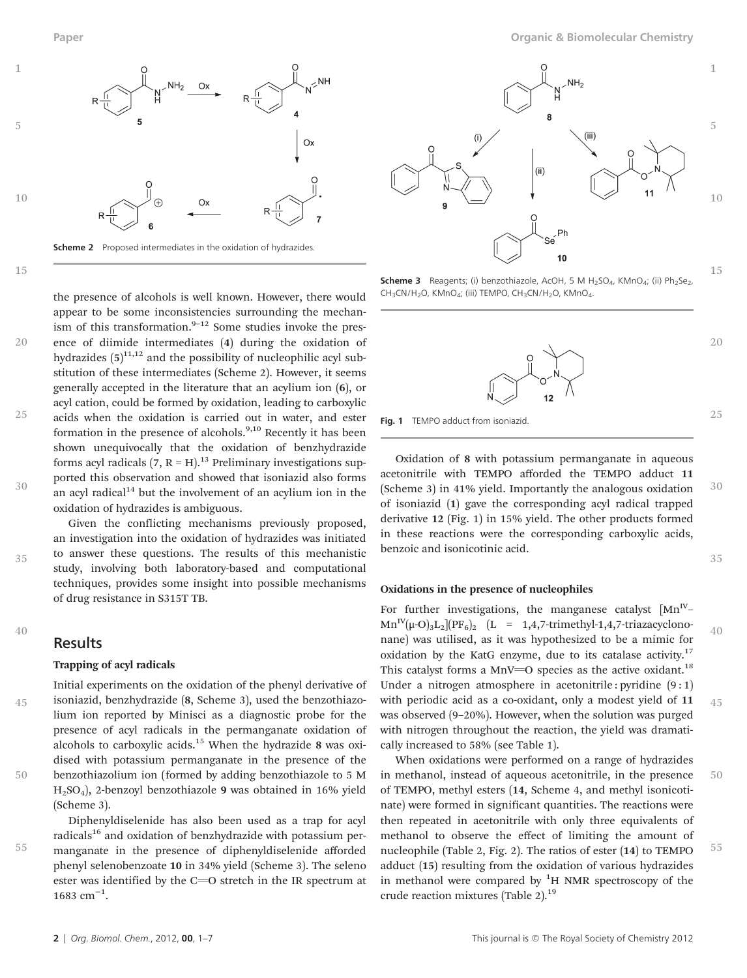

20

25

30

35

the presence of alcohols is well known. However, there would appear to be some inconsistencies surrounding the mechanism of this transformation. $9-12$  Some studies invoke the presence of diimide intermediates (4) during the oxidation of hydrazides  $(5)^{11,12}$  and the possibility of nucleophilic acyl substitution of these intermediates (Scheme 2). However, it seems generally accepted in the literature that an acylium ion (6), or acyl cation, could be formed by oxidation, leading to carboxylic acids when the oxidation is carried out in water, and ester formation in the presence of alcohols. $9,10$  Recently it has been shown unequivocally that the oxidation of benzhydrazide forms acyl radicals  $(7, R = H).$ <sup>13</sup> Preliminary investigations supported this observation and showed that isoniazid also forms an acyl radical $14$  but the involvement of an acylium ion in the oxidation of hydrazides is ambiguous.

Given the conflicting mechanisms previously proposed, an investigation into the oxidation of hydrazides was initiated to answer these questions. The results of this mechanistic study, involving both laboratory-based and computational techniques, provides some insight into possible mechanisms of drug resistance in S315T TB.

#### 40

45

50

55

#### **Results**

#### Trapping of acyl radicals

Initial experiments on the oxidation of the phenyl derivative of isoniazid, benzhydrazide (8, Scheme 3), used the benzothiazolium ion reported by Minisci as a diagnostic probe for the presence of acyl radicals in the permanganate oxidation of alcohols to carboxylic acids.<sup>15</sup> When the hydrazide 8 was oxidised with potassium permanganate in the presence of the benzothiazolium ion (formed by adding benzothiazole to 5 M H2SO4), 2-benzoyl benzothiazole 9 was obtained in 16% yield (Scheme 3).

Diphenyldiselenide has also been used as a trap for acyl radicals<sup>16</sup> and oxidation of benzhydrazide with potassium permanganate in the presence of diphenyldiselenide afforded phenyl selenobenzoate 10 in 34% yield (Scheme 3). The seleno ester was identified by the  $C=O$  stretch in the IR spectrum at 1683 cm<sup>-1</sup>.



15

20

25

**Scheme 3** Reagents; (i) benzothiazole, AcOH, 5 M H<sub>2</sub>SO<sub>4</sub>, KMnO<sub>4</sub>; (ii) Ph<sub>2</sub>Se<sub>2</sub>, CH<sub>3</sub>CN/H<sub>2</sub>O, KMnO<sub>4</sub>; (iii) TEMPO, CH<sub>3</sub>CN/H<sub>2</sub>O, KMnO<sub>4</sub>.



Fig. 1 TEMPO adduct from isoniazid

Oxidation of 8 with potassium permanganate in aqueous acetonitrile with TEMPO afforded the TEMPO adduct 11 (Scheme 3) in 41% yield. Importantly the analogous oxidation of isoniazid (1) gave the corresponding acyl radical trapped derivative 12 (Fig. 1) in 15% yield. The other products formed in these reactions were the corresponding carboxylic acids, benzoic and isonicotinic acid. 30 35

#### Oxidations in the presence of nucleophiles

For further investigations, the manganese catalyst  $[Mn^V Mn^{IV}(\mu\text{-}O)_{3}L_{2}$ [PF<sub>6</sub>]<sub>2</sub> (L = 1,4,7-trimethyl-1,4,7-triazacyclononane) was utilised, as it was hypothesized to be a mimic for oxidation by the KatG enzyme, due to its catalase activity.<sup>17</sup> This catalyst forms a MnV= $O$  species as the active oxidant.<sup>18</sup> Under a nitrogen atmosphere in acetonitrile : pyridine  $(9:1)$ with periodic acid as a co-oxidant, only a modest yield of 11 was observed (9–20%). However, when the solution was purged with nitrogen throughout the reaction, the yield was dramatically increased to 58% (see Table 1). 40 45

When oxidations were performed on a range of hydrazides in methanol, instead of aqueous acetonitrile, in the presence of TEMPO, methyl esters (14, Scheme 4, and methyl isonicotinate) were formed in significant quantities. The reactions were then repeated in acetonitrile with only three equivalents of methanol to observe the effect of limiting the amount of nucleophile (Table 2, Fig. 2). The ratios of ester (14) to TEMPO adduct (15) resulting from the oxidation of various hydrazides in methanol were compared by  ${}^{1}H$  NMR spectroscopy of the crude reaction mixtures (Table 2).<sup>19</sup> 50 55

Paper Organic & Biomolecular Chemistry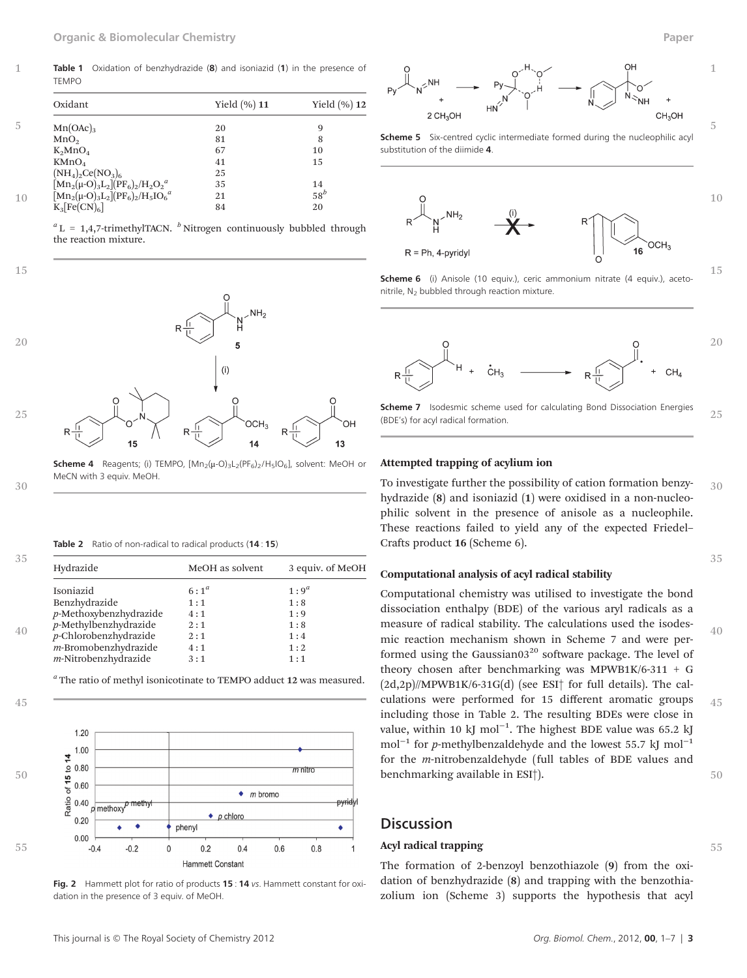Table 1 Oxidation of benzhydrazide (8) and isoniazid (1) in the presence of TEMPO

| Oxidant                                | Yield $(\%)$ 11 | Yield $(\%)$ 12 |
|----------------------------------------|-----------------|-----------------|
| $Mn(OAc)_{3}$                          | 20              | 9               |
| MnO <sub>2</sub>                       | 81              | 8               |
| $K_2MnO_4$                             | 67              | 10              |
| KMnO <sub>4</sub>                      | 41              | 15              |
| $(NH_4)_2Ce(NO_3)_6$                   | 25              |                 |
| $[Mn_2(\mu-O)_3L_2](PF_6)_2/H_2O_2^a$  | 35              | 14              |
| $[Mn_2(\mu-O)_3L_2](PF_6)_2/H_5IO_6^a$ | 21              | $58^b$          |
| $K_3[Fe(CN)_6]$                        | 84              | 20              |

 ${}^a$  L = 1,4,7-trimethylTACN.  ${}^b$  Nitrogen continuously bubbled through the reaction mixture.

15

30

1



**Scheme 4** Reagents; (i) TEMPO,  $[Mn_2(\mu-O)_3L_2(PF_6)_2/H_5IO_6]$ , solvent: MeOH or MeCN with 3 equiv. MeOH.

|  | Table 2 Ratio of non-radical to radical products (14:15) |  |  |  |  |
|--|----------------------------------------------------------|--|--|--|--|
|--|----------------------------------------------------------|--|--|--|--|

| Hydrazide                 | MeOH as solvent | 3 equiv. of MeOH |
|---------------------------|-----------------|------------------|
| Isoniazid                 | $6:1^a$         | $1:9^a$          |
| Benzhydrazide             | 1:1             | 1:8              |
| $p$ -Methoxybenzhydrazide | 4:1             | 1:9              |
| $p$ -Methylbenzhydrazide  | 2:1             | 1:8              |
| $p$ -Chlorobenzhydrazide  | 2:1             | 1:4              |
| m-Bromobenzhydrazide      | 4:1             | 1:2              |
| $m$ -Nitrobenzhydrazide   | 3:1             | 1:1              |
|                           |                 |                  |

<sup>a</sup> The ratio of methyl isonicotinate to TEMPO adduct 12 was measured.



Fig. 2 Hammett plot for ratio of products 15 : 14 vs. Hammett constant for oxidation in the presence of 3 equiv. of MeOH.



Scheme 5 Six-centred cyclic intermediate formed during the nucleophilic acyl substitution of the diimide 4.



Scheme 6 (i) Anisole (10 equiv.), ceric ammonium nitrate (4 equiv.), acetonitrile, N<sub>2</sub> bubbled through reaction mixture.



Scheme 7 Isodesmic scheme used for calculating Bond Dissociation Energies (BDE's) for acyl radical formation. 25

#### Attempted trapping of acylium ion

To investigate further the possibility of cation formation benzyhydrazide (8) and isoniazid (1) were oxidised in a non-nucleophilic solvent in the presence of anisole as a nucleophile. These reactions failed to yield any of the expected Friedel– Crafts product 16 (Scheme 6). 30

#### Computational analysis of acyl radical stability

Computational chemistry was utilised to investigate the bond dissociation enthalpy (BDE) of the various aryl radicals as a measure of radical stability. The calculations used the isodesmic reaction mechanism shown in Scheme 7 and were performed using the Gaussian03 $20$  software package. The level of theory chosen after benchmarking was MPWB1K/6-311 + G (2d,2p)//MPWB1K/6-31G(d) (see ESI† for full details). The calculations were performed for 15 different aromatic groups including those in Table 2. The resulting BDEs were close in value, within 10 kJ mol<sup>-1</sup>. The highest BDE value was 65.2 kJ mol<sup>-1</sup> for *p*-methylbenzaldehyde and the lowest 55.7 kJ mol<sup>-1</sup> for the m-nitrobenzaldehyde (full tables of BDE values and benchmarking available in ESI†). 40 45 50

#### **Discussion**

#### Acyl radical trapping

The formation of 2-benzoyl benzothiazole (9) from the oxidation of benzhydrazide (8) and trapping with the benzothiazolium ion (Scheme 3) supports the hypothesis that acyl 1

5

15

35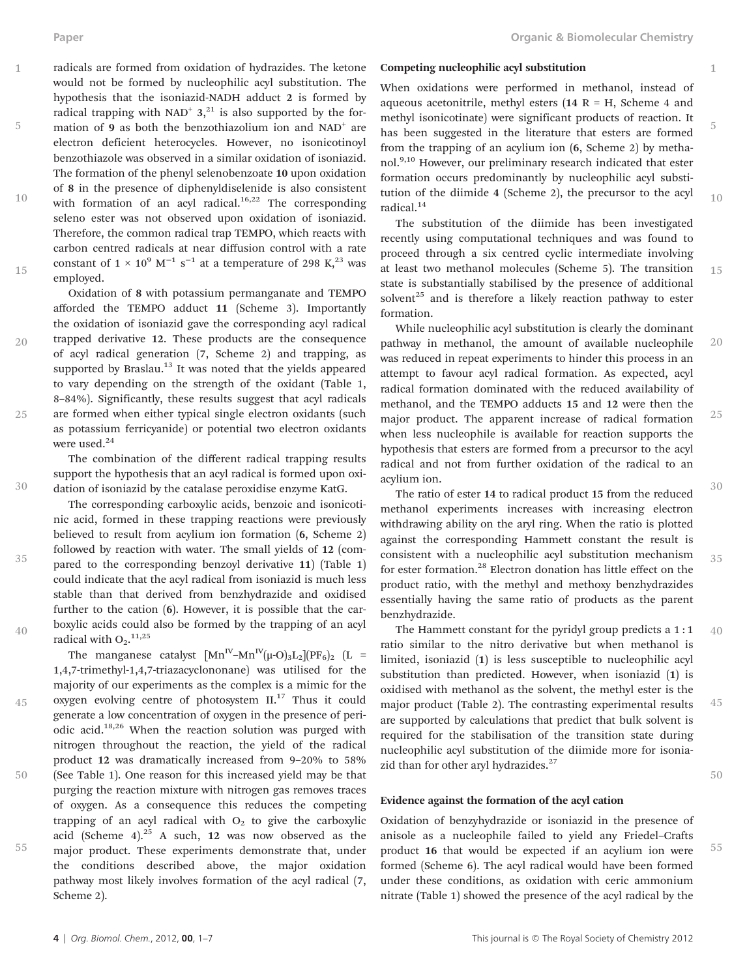5

20

25

30

35

40

45

1

5

 $10$ 

15

radicals are formed from oxidation of hydrazides. The ketone would not be formed by nucleophilic acyl substitution. The hypothesis that the isoniazid-NADH adduct 2 is formed by radical trapping with NAD<sup>+</sup>  $3^{21}$ , is also supported by the formation of 9 as both the benzothiazolium ion and NAD<sup>+</sup> are electron deficient heterocycles. However, no isonicotinoyl benzothiazole was observed in a similar oxidation of isoniazid. The formation of the phenyl selenobenzoate 10 upon oxidation of 8 in the presence of diphenyldiselenide is also consistent with formation of an acyl radical.<sup>16,22</sup> The corresponding seleno ester was not observed upon oxidation of isoniazid. Therefore, the common radical trap TEMPO, which reacts with carbon centred radicals at near diffusion control with a rate constant of  $1 \times 10^9$  M<sup>-1</sup> s<sup>-1</sup> at a temperature of 298 K,<sup>23</sup> was employed. 10 15

Oxidation of 8 with potassium permanganate and TEMPO afforded the TEMPO adduct 11 (Scheme 3). Importantly the oxidation of isoniazid gave the corresponding acyl radical trapped derivative 12. These products are the consequence of acyl radical generation (7, Scheme 2) and trapping, as supported by Braslau.<sup>13</sup> It was noted that the yields appeared to vary depending on the strength of the oxidant (Table 1, 8–84%). Significantly, these results suggest that acyl radicals are formed when either typical single electron oxidants (such as potassium ferricyanide) or potential two electron oxidants were used.<sup>24</sup>

The combination of the different radical trapping results support the hypothesis that an acyl radical is formed upon oxidation of isoniazid by the catalase peroxidise enzyme KatG.

The corresponding carboxylic acids, benzoic and isonicotinic acid, formed in these trapping reactions were previously believed to result from acylium ion formation (6, Scheme 2) followed by reaction with water. The small yields of 12 (compared to the corresponding benzoyl derivative 11) (Table 1) could indicate that the acyl radical from isoniazid is much less stable than that derived from benzhydrazide and oxidised further to the cation (6). However, it is possible that the carboxylic acids could also be formed by the trapping of an acyl radical with  $O_2$ .<sup>11,25</sup>

The manganese catalyst  $\left[\text{Mn}^{\text{IV}}-\text{Mn}^{\text{IV}}(\mu\text{-O})_{3}\text{L}_{2}\right](\text{PF}_6)_{2}$  (L = 1,4,7-trimethyl-1,4,7-triazacyclononane) was utilised for the majority of our experiments as the complex is a mimic for the oxygen evolving centre of photosystem II.<sup>17</sup> Thus it could generate a low concentration of oxygen in the presence of periodic acid.18,26 When the reaction solution was purged with nitrogen throughout the reaction, the yield of the radical product 12 was dramatically increased from 9–20% to 58% (See Table 1). One reason for this increased yield may be that purging the reaction mixture with nitrogen gas removes traces of oxygen. As a consequence this reduces the competing trapping of an acyl radical with  $O<sub>2</sub>$  to give the carboxylic acid (Scheme  $4$ ).<sup>25</sup> A such, 12 was now observed as the major product. These experiments demonstrate that, under the conditions described above, the major oxidation pathway most likely involves formation of the acyl radical (7, Scheme 2).

55

50

Competing nucleophilic acyl substitution

When oxidations were performed in methanol, instead of aqueous acetonitrile, methyl esters ( $14$  R = H, Scheme 4 and methyl isonicotinate) were significant products of reaction. It has been suggested in the literature that esters are formed from the trapping of an acylium ion (6, Scheme 2) by methanol.<sup>9,10</sup> However, our preliminary research indicated that ester formation occurs predominantly by nucleophilic acyl substitution of the diimide 4 (Scheme 2), the precursor to the acyl radical.<sup>14</sup>

The substitution of the diimide has been investigated recently using computational techniques and was found to proceed through a six centred cyclic intermediate involving at least two methanol molecules (Scheme 5). The transition state is substantially stabilised by the presence of additional solvent $25$  and is therefore a likely reaction pathway to ester formation.

While nucleophilic acyl substitution is clearly the dominant pathway in methanol, the amount of available nucleophile was reduced in repeat experiments to hinder this process in an attempt to favour acyl radical formation. As expected, acyl radical formation dominated with the reduced availability of methanol, and the TEMPO adducts 15 and 12 were then the major product. The apparent increase of radical formation when less nucleophile is available for reaction supports the hypothesis that esters are formed from a precursor to the acyl radical and not from further oxidation of the radical to an acylium ion. 20 25 30

The ratio of ester 14 to radical product 15 from the reduced methanol experiments increases with increasing electron withdrawing ability on the aryl ring. When the ratio is plotted against the corresponding Hammett constant the result is consistent with a nucleophilic acyl substitution mechanism for ester formation.28 Electron donation has little effect on the product ratio, with the methyl and methoxy benzhydrazides essentially having the same ratio of products as the parent benzhydrazide. 35

The Hammett constant for the pyridyl group predicts a 1 : 1 ratio similar to the nitro derivative but when methanol is limited, isoniazid (1) is less susceptible to nucleophilic acyl substitution than predicted. However, when isoniazid (1) is oxidised with methanol as the solvent, the methyl ester is the major product (Table 2). The contrasting experimental results are supported by calculations that predict that bulk solvent is required for the stabilisation of the transition state during nucleophilic acyl substitution of the diimide more for isoniazid than for other aryl hydrazides.<sup>27</sup> 40 45

50

#### Evidence against the formation of the acyl cation

Oxidation of benzyhydrazide or isoniazid in the presence of anisole as a nucleophile failed to yield any Friedel–Crafts product 16 that would be expected if an acylium ion were formed (Scheme 6). The acyl radical would have been formed under these conditions, as oxidation with ceric ammonium nitrate (Table 1) showed the presence of the acyl radical by the 55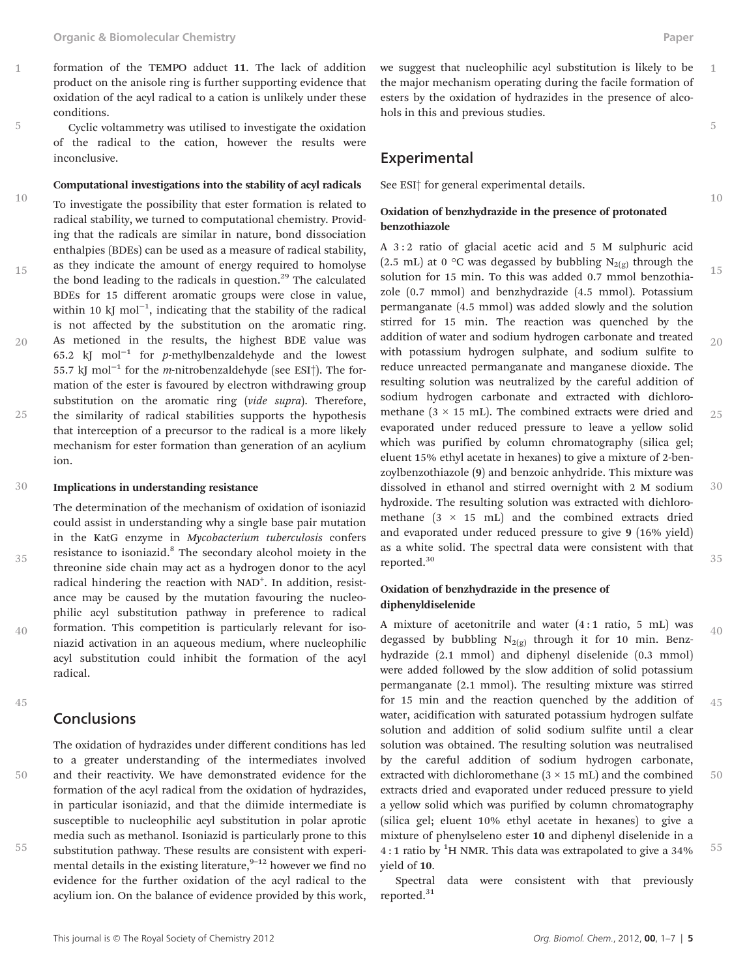- formation of the TEMPO adduct 11. The lack of addition product on the anisole ring is further supporting evidence that oxidation of the acyl radical to a cation is unlikely under these conditions.
- Cyclic voltammetry was utilised to investigate the oxidation of the radical to the cation, however the results were inconclusive. 5

#### Computational investigations into the stability of acyl radicals

To investigate the possibility that ester formation is related to radical stability, we turned to computational chemistry. Providing that the radicals are similar in nature, bond dissociation enthalpies (BDEs) can be used as a measure of radical stability, as they indicate the amount of energy required to homolyse the bond leading to the radicals in question.<sup>29</sup> The calculated BDEs for 15 different aromatic groups were close in value, within 10 kJ mol<sup>-1</sup>, indicating that the stability of the radical is not affected by the substitution on the aromatic ring. As metioned in the results, the highest BDE value was 65.2 kJ mol−<sup>1</sup> for p-methylbenzaldehyde and the lowest 55.7 kJ mol<sup>-1</sup> for the *m*-nitrobenzaldehyde (see ESI†). The formation of the ester is favoured by electron withdrawing group substitution on the aromatic ring (vide supra). Therefore, the similarity of radical stabilities supports the hypothesis that interception of a precursor to the radical is a more likely mechanism for ester formation than generation of an acylium ion. 10 15 20 25

#### Implications in understanding resistance 30

The determination of the mechanism of oxidation of isoniazid could assist in understanding why a single base pair mutation in the KatG enzyme in Mycobacterium tuberculosis confers resistance to isoniazid.<sup>8</sup> The secondary alcohol moiety in the threonine side chain may act as a hydrogen donor to the acyl radical hindering the reaction with NAD<sup>+</sup>. In addition, resistance may be caused by the mutation favouring the nucleophilic acyl substitution pathway in preference to radical formation. This competition is particularly relevant for isoniazid activation in an aqueous medium, where nucleophilic acyl substitution could inhibit the formation of the acyl radical.

45

35

40

1

#### **Conclusions**

55

50

The oxidation of hydrazides under different conditions has led to a greater understanding of the intermediates involved and their reactivity. We have demonstrated evidence for the formation of the acyl radical from the oxidation of hydrazides, in particular isoniazid, and that the diimide intermediate is susceptible to nucleophilic acyl substitution in polar aprotic media such as methanol. Isoniazid is particularly prone to this substitution pathway. These results are consistent with experimental details in the existing literature,  $9-12$  however we find no evidence for the further oxidation of the acyl radical to the acylium ion. On the balance of evidence provided by this work, we suggest that nucleophilic acyl substitution is likely to be the major mechanism operating during the facile formation of esters by the oxidation of hydrazides in the presence of alcohols in this and previous studies. 1

#### **Experimental**

See ESI† for general experimental details.

#### Oxidation of benzhydrazide in the presence of protonated benzothiazole

A 3 : 2 ratio of glacial acetic acid and 5 M sulphuric acid (2.5 mL) at 0 °C was degassed by bubbling  $N_{2(g)}$  through the solution for 15 min. To this was added 0.7 mmol benzothiazole (0.7 mmol) and benzhydrazide (4.5 mmol). Potassium permanganate (4.5 mmol) was added slowly and the solution stirred for 15 min. The reaction was quenched by the addition of water and sodium hydrogen carbonate and treated with potassium hydrogen sulphate, and sodium sulfite to reduce unreacted permanganate and manganese dioxide. The resulting solution was neutralized by the careful addition of sodium hydrogen carbonate and extracted with dichloromethane  $(3 \times 15 \text{ mL})$ . The combined extracts were dried and evaporated under reduced pressure to leave a yellow solid which was purified by column chromatography (silica gel; eluent 15% ethyl acetate in hexanes) to give a mixture of 2-benzoylbenzothiazole (9) and benzoic anhydride. This mixture was dissolved in ethanol and stirred overnight with 2 M sodium hydroxide. The resulting solution was extracted with dichloromethane  $(3 \times 15 \text{ mL})$  and the combined extracts dried and evaporated under reduced pressure to give 9 (16% yield) as a white solid. The spectral data were consistent with that reported.30 15 20 25 30 35

#### Oxidation of benzhydrazide in the presence of diphenyldiselenide

A mixture of acetonitrile and water (4 : 1 ratio, 5 mL) was degassed by bubbling  $N_{2(g)}$  through it for 10 min. Benzhydrazide (2.1 mmol) and diphenyl diselenide (0.3 mmol) were added followed by the slow addition of solid potassium permanganate (2.1 mmol). The resulting mixture was stirred for 15 min and the reaction quenched by the addition of water, acidification with saturated potassium hydrogen sulfate solution and addition of solid sodium sulfite until a clear solution was obtained. The resulting solution was neutralised by the careful addition of sodium hydrogen carbonate, extracted with dichloromethane  $(3 \times 15 \text{ mL})$  and the combined extracts dried and evaporated under reduced pressure to yield a yellow solid which was purified by column chromatography (silica gel; eluent 10% ethyl acetate in hexanes) to give a mixture of phenylseleno ester 10 and diphenyl diselenide in a 4:1 ratio by <sup>1</sup>H NMR. This data was extrapolated to give a 34% yield of 10. 40 45 50 55

Spectral data were consistent with that previously reported.<sup>31</sup>

10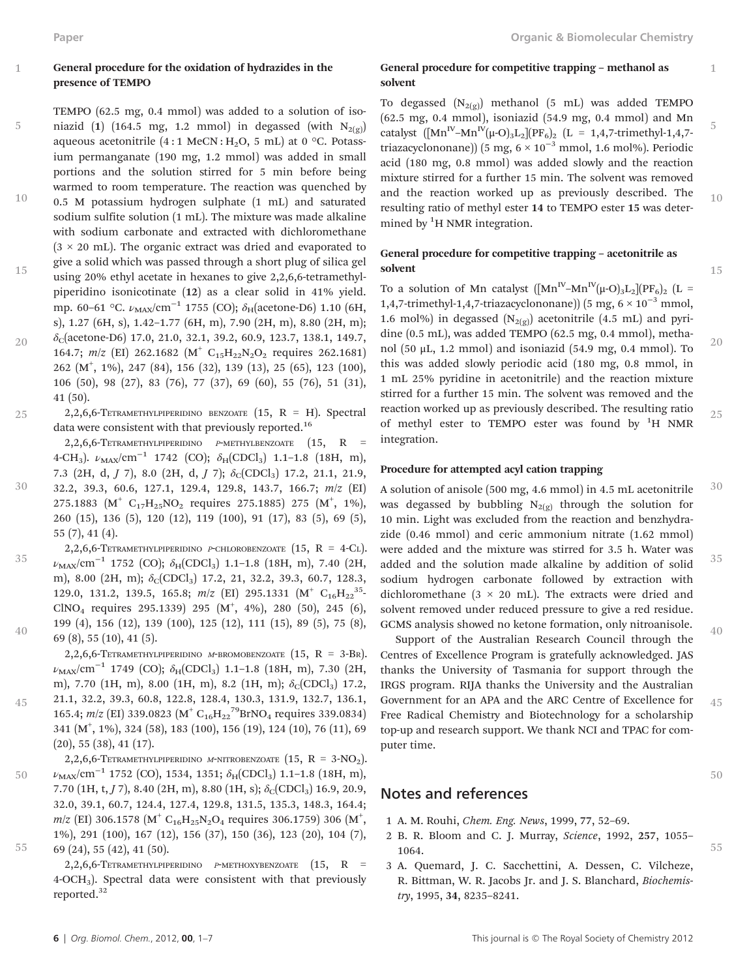5

45

#### General procedure for the oxidation of hydrazides in the presence of TEMPO

- TEMPO (62.5 mg, 0.4 mmol) was added to a solution of isoniazid (1) (164.5 mg, 1.2 mmol) in degassed (with  $N_{2(g)}$ ) aqueous acetonitrile  $(4:1 \text{ MeCN}:H_2O, 5 \text{ mL})$  at 0 °C. Potassium permanganate (190 mg, 1.2 mmol) was added in small portions and the solution stirred for 5 min before being
- warmed to room temperature. The reaction was quenched by 0.5 M potassium hydrogen sulphate (1 mL) and saturated sodium sulfite solution (1 mL). The mixture was made alkaline with sodium carbonate and extracted with dichloromethane  $(3 \times 20 \text{ mL})$ . The organic extract was dried and evaporated to give a solid which was passed through a short plug of silica gel 10
- using 20% ethyl acetate in hexanes to give 2,2,6,6-tetramethylpiperidino isonicotinate (12) as a clear solid in 41% yield. mp. 60–61 °C.  $\nu_{MAX}/cm^{-1}$  1755 (CO);  $\delta_H$ (acetone-D6) 1.10 (6H, s), 1.27 (6H, s), 1.42–1.77 (6H, m), 7.90 (2H, m), 8.80 (2H, m); 15
- $\delta_c$ (acetone-D6) 17.0, 21.0, 32.1, 39.2, 60.9, 123.7, 138.1, 149.7, 164.7; m/z (EI) 262.1682 (M<sup>+</sup> C<sub>15</sub>H<sub>22</sub>N<sub>2</sub>O<sub>2</sub> requires 262.1681) 262 (M<sup>+</sup> , 1%), 247 (84), 156 (32), 139 (13), 25 (65), 123 (100), 106 (50), 98 (27), 83 (76), 77 (37), 69 (60), 55 (76), 51 (31), 41 (50). 20
- 2,2,6,6-TETRAMETHYLPIPERIDINO BENZOATE  $(15, R = H)$ . Spectral data were consistent with that previously reported.<sup>16</sup> 25
	- 2,2,6,6-TETRAMETHYLPIPERIDINO <sup>P</sup>-METHYLBENZOATE (15, R = 4-CH<sub>3</sub>).  $\nu_{MAX}/cm^{-1}$  1742 (CO);  $\delta_H(CDCl_3)$  1.1-1.8 (18H, m),
- 7.3 (2H, d,  $J$  7), 8.0 (2H, d,  $J$  7);  $\delta$ c(CDCl<sub>3</sub>) 17.2, 21.1, 21.9, 32.2, 39.3, 60.6, 127.1, 129.4, 129.8, 143.7, 166.7; m/z (EI) 275.1883  $(M^+ \ C_{17}H_{25}NO_2 \text{ requires } 275.1885)$  275  $(M^+, 1\%)$ 260 (15), 136 (5), 120 (12), 119 (100), 91 (17), 83 (5), 69 (5), 55 (7), 41 (4). 30
- 2,2,6,6-TETRAMETHYLPIPERIDINO P-CHLOROBENZOATE  $(15, R = 4$ -Cl.  $\nu_{\text{MAX}}/\text{cm}^{-1}$  1752 (CO);  $\delta_{\text{H}}(\text{CDCl}_3)$  1.1–1.8 (18H, m), 7.40 (2H, m), 8.00 (2H, m);  $\delta_C(CDCl_3)$  17.2, 21, 32.2, 39.3, 60.7, 128.3, 129.0, 131.2, 139.5, 165.8;  $m/z$  (EI) 295.1331 (M<sup>+</sup> C<sub>16</sub>H<sub>22</sub><sup>35</sup>- $CINO<sub>4</sub>$  requires 295.1339) 295  $(M<sup>+</sup>, 4%)$ , 280 (50), 245 (6), 199 (4), 156 (12), 139 (100), 125 (12), 111 (15), 89 (5), 75 (8), 69 (8), 55 (10), 41 (5). 35 40

2,2,6,6-TETRAMETHYLPIPERIDINO M-BROMOBENZOATE  $(15, R = 3-BR)$ .  $\nu_{\text{MAX}}/\text{cm}^{-1}$  1749 (CO);  $\delta_{\text{H}}(\text{CDCl}_3)$  1.1–1.8 (18H, m), 7.30 (2H, m), 7.70 (1H, m), 8.00 (1H, m), 8.2 (1H, m);  $\delta_C(CDCl_3)$  17.2, 21.1, 32.2, 39.3, 60.8, 122.8, 128.4, 130.3, 131.9, 132.7, 136.1, 165.4;  $m/z$  (EI) 339.0823 (M<sup>+</sup> C<sub>16</sub>H<sub>22</sub><sup>79</sup>BrNO<sub>4</sub> requires 339.0834)

341 (M+ , 1%), 324 (58), 183 (100), 156 (19), 124 (10), 76 (11), 69 (20), 55 (38), 41 (17).

2,2,6,6-TETRAMETHYLPIPERIDINO M-NITROBENZOATE  $(15, R = 3-NO<sub>2</sub>)$ .  $\nu_{\text{MAX}}/\text{cm}^{-1}$  1752 (CO), 1534, 1351;  $\delta_{\text{H}}(\text{CDCl}_3)$  1.1–1.8 (18H, m), 7.70 (1H, t,  $J$  7), 8.40 (2H, m), 8.80 (1H, s);  $\delta$ <sub>C</sub>(CDCl<sub>3</sub>) 16.9, 20.9, 32.0, 39.1, 60.7, 124.4, 127.4, 129.8, 131.5, 135.3, 148.3, 164.4;  $m/z$  (EI) 306.1578 (M<sup>+</sup> C<sub>16</sub>H<sub>25</sub>N<sub>2</sub>O<sub>4</sub> requires 306.1759) 306 (M<sup>+</sup>, 1%), 291 (100), 167 (12), 156 (37), 150 (36), 123 (20), 104 (7), 69 (24), 55 (42), 41 (50). 50 55

> $2,2,6,6$ -TETRAMETHYLPIPERIDINO P-METHOXYBENZOATE  $(15, R$ 4-OCH3). Spectral data were consistent with that previously reported.32

1

15

#### General procedure for competitive trapping – methanol as solvent

To degassed  $(N_{2(g)})$  methanol (5 mL) was added TEMPO (62.5 mg, 0.4 mmol), isoniazid (54.9 mg, 0.4 mmol) and Mn catalyst  $([Mn^{IV}-Mn^{IV}(\mu-O)_3L_2][PF_6)_2$  (L = 1,4,7-trimethyl-1,4,7triazacyclononane)) (5 mg,  $6 \times 10^{-3}$  mmol, 1.6 mol%). Periodic acid (180 mg, 0.8 mmol) was added slowly and the reaction mixture stirred for a further 15 min. The solvent was removed and the reaction worked up as previously described. The resulting ratio of methyl ester 14 to TEMPO ester 15 was determined by <sup>1</sup>H NMR integration. 5  $10$ 

#### General procedure for competitive trapping – acetonitrile as solvent

To a solution of Mn catalyst  $([Mn^{IV}-Mn^{IV}(\mu O)_3L_2](PF_6)_2$  (L = 1,4,7-trimethyl-1,4,7-triazacyclononane)) (5 mg,  $6 \times 10^{-3}$  mmol, 1.6 mol%) in degassed  $(N_{2(g)})$  acetonitrile (4.5 mL) and pyridine (0.5 mL), was added TEMPO (62.5 mg, 0.4 mmol), methanol (50 μL, 1.2 mmol) and isoniazid (54.9 mg, 0.4 mmol). To this was added slowly periodic acid (180 mg, 0.8 mmol, in 1 mL 25% pyridine in acetonitrile) and the reaction mixture stirred for a further 15 min. The solvent was removed and the reaction worked up as previously described. The resulting ratio of methyl ester to TEMPO ester was found by <sup>1</sup>H NMR integration. 20 25

#### Procedure for attempted acyl cation trapping

A solution of anisole (500 mg, 4.6 mmol) in 4.5 mL acetonitrile was degassed by bubbling  $N_{2(g)}$  through the solution for 10 min. Light was excluded from the reaction and benzhydrazide (0.46 mmol) and ceric ammonium nitrate (1.62 mmol) were added and the mixture was stirred for 3.5 h. Water was added and the solution made alkaline by addition of solid sodium hydrogen carbonate followed by extraction with dichloromethane ( $3 \times 20$  mL). The extracts were dried and solvent removed under reduced pressure to give a red residue. GCMS analysis showed no ketone formation, only nitroanisole. 30 35 40

Support of the Australian Research Council through the Centres of Excellence Program is gratefully acknowledged. JAS thanks the University of Tasmania for support through the IRGS program. RIJA thanks the University and the Australian Government for an APA and the ARC Centre of Excellence for Free Radical Chemistry and Biotechnology for a scholarship top-up and research support. We thank NCI and TPAC for computer time. 45

### Notes and references

- 1 A. M. Rouhi, Chem. Eng. News, 1999, 77, 52–69.
- 2 B. R. Bloom and C. J. Murray, Science, 1992, 257, 1055– 1064.
- 3 A. Quemard, J. C. Sacchettini, A. Dessen, C. Vilcheze, R. Bittman, W. R. Jacobs Jr. and J. S. Blanchard, Biochemistry, 1995, 34, 8235–8241.

50